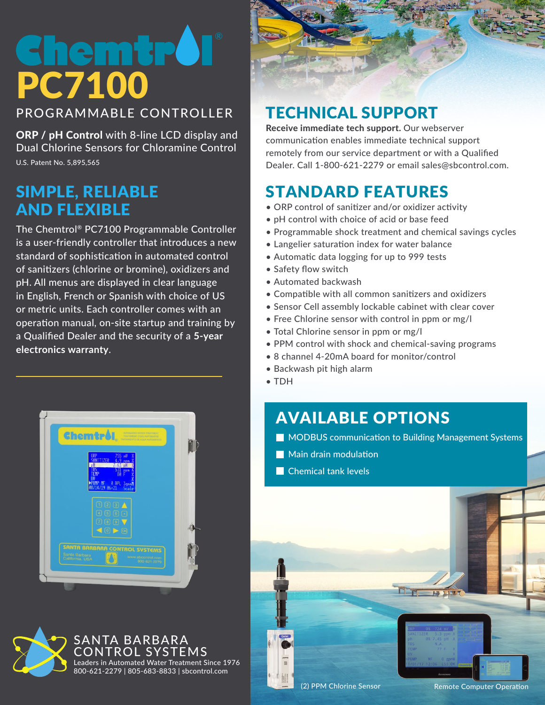# emu PC7100

PROGRAMMABLE CONTROLLER

ORP / pH Control with 8-line LCD display and Dual Chlorine Sensors for Chloramine Control U.S. Patent No. 5,895,565

#### SIMPLE, RELIABLE AND FLEXIBLE

The Chemtrol® PC7100 Programmable Controller is a user-friendly controller that introduces a new standard of sophistication in automated control of sanitizers (chlorine or bromine), oxidizers and pH. All menus are displayed in clear language in English, French or Spanish with choice of US or metric units. Each controller comes with an operation manual, on-site startup and training by a Qualified Dealer and the security of a **5-year electronics warranty**.





#### TECHNICAL SUPPORT

Receive immediate tech support. Our webserver communication enables immediate technical support remotely from our service department or with a Qualified Dealer. Call 1-800-621-2279 or email sales@sbcontrol.com.

### STANDARD FEATURES

- ORP control of sanitizer and/or oxidizer activity
- pH control with choice of acid or base feed
- Programmable shock treatment and chemical savings cycles
- Langelier saturation index for water balance
- Automatic data logging for up to 999 tests
- Safety flow switch
- Automated backwash
- Compatible with all common sanitizers and oxidizers
- Sensor Cell assembly lockable cabinet with clear cover
- Free Chlorine sensor with control in ppm or mg/l
- Total Chlorine sensor in ppm or mg/l
- PPM control with shock and chemical-saving programs
- 8 channel 4-20mA board for monitor/control
- Backwash pit high alarm
- TDH

## AVAILABLE OPTIONS

- **MODBUS communication to Building Management Systems**
- Main drain modulation
- Chemical tank levels